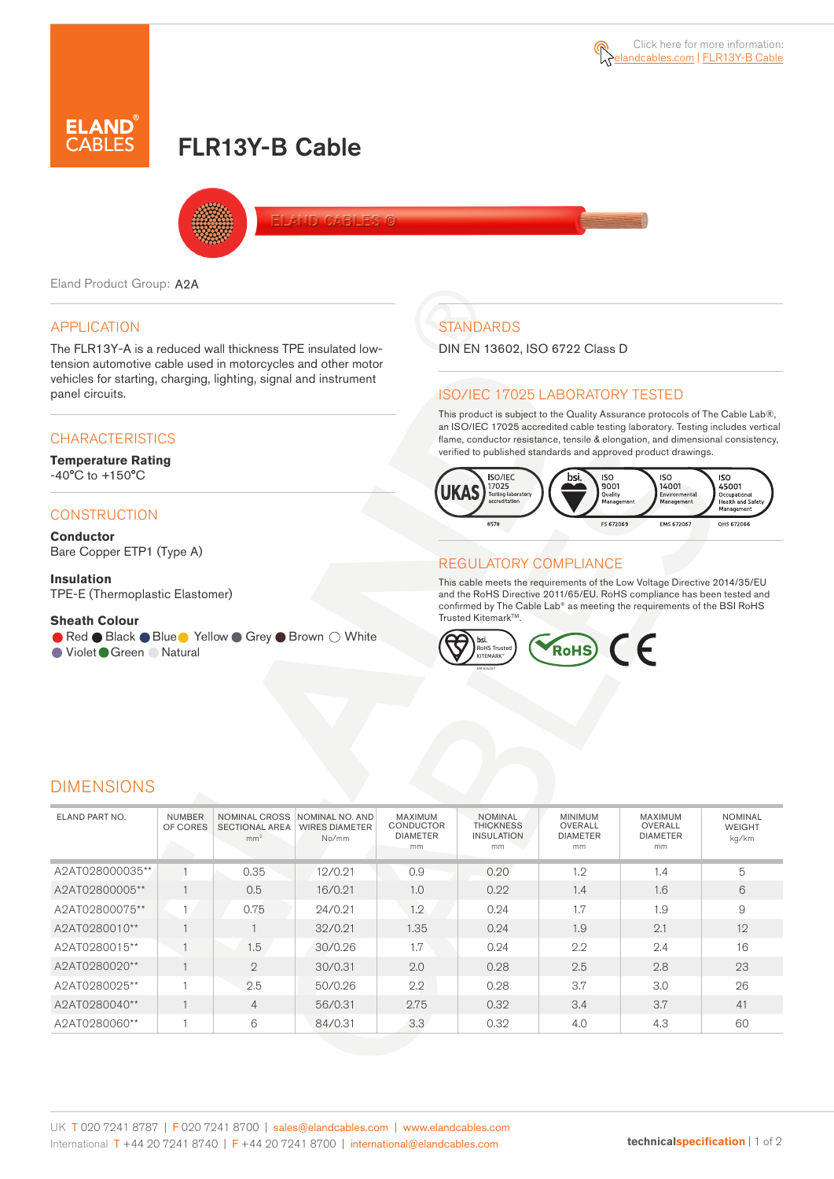# FLR13Y-B Cable



Eland Product Group: A2A

## APPLICATION

The FLR13Y-A is a reduced wall thickness TPE insulated lowtension automotive cable used in motorcycles and other motor vehicles for starting, charging, lighting, signal and instrument panel circuits.

## **CHARACTERISTICS**

**Temperature Rating**  -40°C to +150°C

### **CONSTRUCTION**

**Conductor** Bare Copper ETP1 (Type A)

#### **Insulation** TPE-E (Thermoplastic Elastomer)

**Sheath Colour**

● Red ● Black ● Blue ● Yellow ● Grey ● Brown ○ White

● Violet Green ● Natural

## **STANDARDS**

DIN EN 13602, ISO 6722 Class D

## ISO/IEC 17025 LABORATORY TESTED

This product is subject to the Quality Assurance protocols of The Cable Lab®, an ISO/IEC 17025 accredited cable testing laboratory. Testing includes vertical flame, conductor resistance, tensile & elongation, and dimensional consistency, verified to published standards and approved product drawings.



## REGULATORY COMPLIANCE

This cable meets the requirements of the Low Voltage Directive 2014/35/EU and the RoHS Directive 2011/65/EU. RoHS compliance has been tested and confirmed by The Cable Lab® as meeting the requirements of the BSI RoHS Trusted Kitemark™.



## DIMENSIONS

| ELAND PART NO.  | <b>NUMBER</b><br>OF CORES | <b>NOMINAL CROSS</b><br><b>SECTIONAL AREA</b><br>mm <sup>2</sup> | NOMINAL NO. AND<br><b>WIRES DIAMETER</b><br>No/mm | MAXIMUM<br><b>CONDUCTOR</b><br><b>DIAMETER</b><br>mm | <b>NOMINAL</b><br><b>THICKNESS</b><br><b>INSULATION</b><br>mm | <b>MINIMUM</b><br>OVERALL<br><b>DIAMETER</b><br>mm | MAXIMUM<br>OVERALL<br><b>DIAMETER</b><br>mm | <b>NOMINAL</b><br><b>WEIGHT</b><br>kg/km |  |
|-----------------|---------------------------|------------------------------------------------------------------|---------------------------------------------------|------------------------------------------------------|---------------------------------------------------------------|----------------------------------------------------|---------------------------------------------|------------------------------------------|--|
| A2AT028000035** |                           | 0.35                                                             | 12/0.21                                           | 0.9                                                  | 0.20                                                          | 1.2                                                | 1.4                                         | 5                                        |  |
| A2AT02800005**  |                           | 0.5                                                              | 16/0.21                                           | 1.0                                                  | 0.22                                                          | 1.4                                                | 1.6                                         | 6                                        |  |
| A2AT02800075**  |                           | 0.75                                                             | 24/0.21                                           | 1.2                                                  | 0.24                                                          | 1.7                                                | 1.9                                         | 9                                        |  |
| A2AT0280010**   |                           |                                                                  | 32/0.21                                           | 1.35                                                 | 0.24                                                          | 1.9                                                | 2.1                                         | 12                                       |  |
| A2AT0280015**   |                           | 1.5                                                              | 30/0.26                                           | 1.7                                                  | 0.24                                                          | 2.2                                                | 2.4                                         | 16                                       |  |
| A2AT0280020**   |                           | $\overline{2}$                                                   | 30/0.31                                           | 2.0                                                  | 0.28                                                          | 2.5                                                | 2.8                                         | 23                                       |  |
| A2AT0280025**   |                           | 2.5                                                              | 50/0.26                                           | 2.2                                                  | 0.28                                                          | 3.7                                                | 3.0                                         | 26                                       |  |
| A2AT0280040**   |                           | $\overline{4}$                                                   | 56/0.31                                           | 2.75                                                 | 0.32                                                          | 3.4                                                | 3.7                                         | 41                                       |  |
| A2AT0280060**   |                           | 6                                                                | 84/0.31                                           | 3.3                                                  | 0.32                                                          | 4.0                                                | 4.3                                         | 60                                       |  |